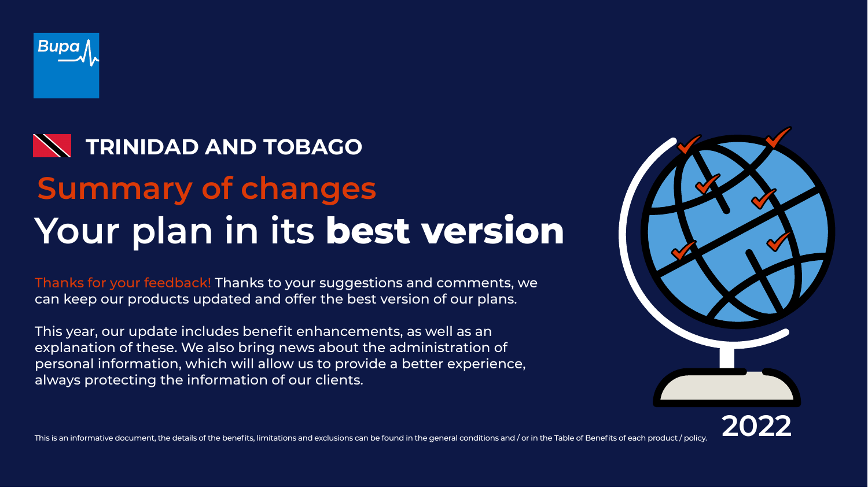Thanks for your feedback! Thanks to your suggestions and comments, we can keep our products updated and offer the best version of our plans.



# **Your plan in its best version Summary of changes TRINIDAD AND TOBAGO**

This year, our update includes benefit enhancements, as well as an explanation of these. We also bring news about the administration of personal information, which will allow us to provide a better experience, always protecting the information of our clients.





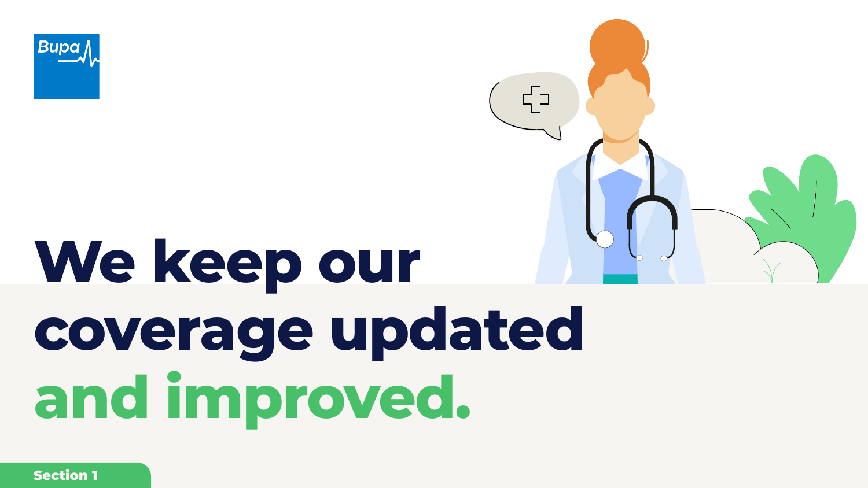Section 1







# **We keep our coverage updated and improved.**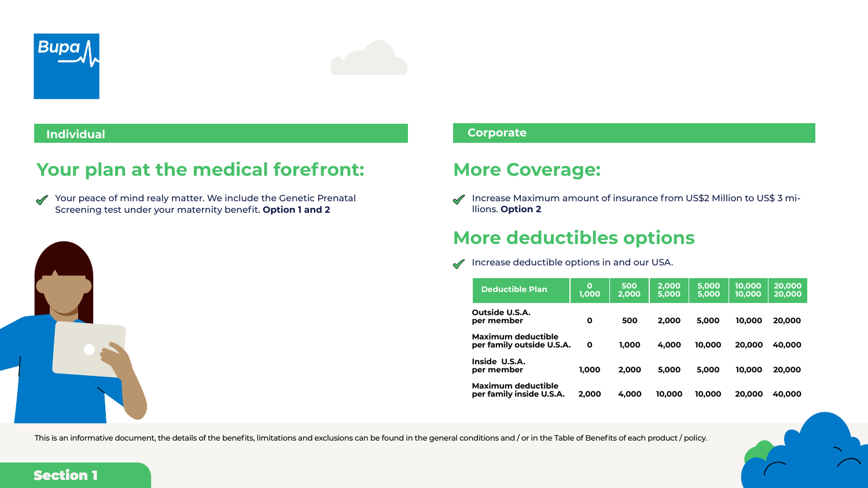This is an informative document, the details of the benefits, limitations and exclusions can be found in the general conditions and / or in the Table of Benefits of each product / policy.

Increase deductible options in and our USA.  $\sqrt{ }$ 





## **More deductibles options**

|                                                        | <b>Deductible Plan</b>                                | $\mathbf 0$<br>1,000 | 500<br>2,000 | 2,000<br>5,000 | 5,000<br>5,000 | 10,000<br>10,000 | 20,000<br>20,000 |
|--------------------------------------------------------|-------------------------------------------------------|----------------------|--------------|----------------|----------------|------------------|------------------|
| <b>Outside U.S.A.</b><br>per member                    |                                                       | $\mathbf 0$          | 500          | 2,000          | 5,000          | 10,000           | 20,000           |
| <b>Maximum deductible</b><br>per family outside U.S.A. |                                                       | $\mathbf 0$          | 1,000        | 4,000          | 10,000         | 20,000           | 40,000           |
| Inside U.S.A.<br>per member                            |                                                       | 1,000                | 2,000        | 5,000          | 5,000          | 10,000           | 20,000           |
|                                                        | <b>Maximum deductible</b><br>per family inside U.S.A. | 2,000                | 4,000        | 10,000         | 10,000         | 20,000           | 40,000           |



Your peace of mind realy matter. We include the Genetic Prenatal  $\sqrt{ }$ Screening test under your maternity benefit. **Option 1 and 2**

## **Your plan at the medical forefront:**



## **Individual Corporate**

Increase Maximum amount of insurance from US\$2 Million to US\$ 3 mi- $\sqrt{}$ llions. **Option 2**

## **More Coverage:**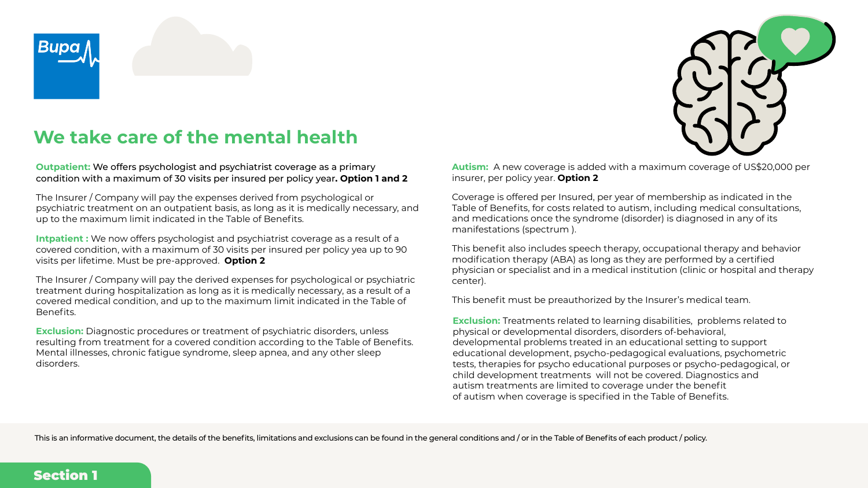

## **We take care of the mental health**





**Outpatient:** We offers psychologist and psychiatrist coverage as a primary condition with a maximum of 30 visits per insured per policy year**. Option 1 and 2**

The Insurer / Company will pay the expenses derived from psychological or psychiatric treatment on an outpatient basis, as long as it is medically necessary, an up to the maximum limit indicated in the Table of Benefits.

The Insurer / Company will pay the derived expenses for psychological or psychiatric treatment during hospitalization as long as it is medically necessary, as a result of a covered medical condition, and up to the maximum limit indicated in the Table of Benefits.

**Intpatient :** We now offers psychologist and psychiatrist coverage as a result of a covered condition, with a maximum of 30 visits per insured per policy yea up to 90 visits per lifetime. Must be pre-approved. **Option 2**

**Exclusion:** Diagnostic procedures or treatment of psychiatric disorders, unless resulting from treatment for a covered condition according to the Table of Benefits. Mental illnesses, chronic fatigue syndrome, sleep apnea, and any other sleep disorders.

|             | <b>Autism:</b> A new coverage is added with a maximum coverage of US\$20,000 per<br>insurer, per policy year. Option 2                                                                                                                                                                                                                                                                                                                                                                                                                                                                  |
|-------------|-----------------------------------------------------------------------------------------------------------------------------------------------------------------------------------------------------------------------------------------------------------------------------------------------------------------------------------------------------------------------------------------------------------------------------------------------------------------------------------------------------------------------------------------------------------------------------------------|
| ٦d          | Coverage is offered per Insured, per year of membership as indicated in the<br>Table of Benefits, for costs related to autism, including medical consultations,<br>and medications once the syndrome (disorder) is diagnosed in any of its<br>manifestations (spectrum).                                                                                                                                                                                                                                                                                                                |
| $\mathsf C$ | This benefit also includes speech therapy, occupational therapy and behavior<br>modification therapy (ABA) as long as they are performed by a certified<br>physician or specialist and in a medical institution (clinic or hospital and therapy<br>center).                                                                                                                                                                                                                                                                                                                             |
|             | This benefit must be preauthorized by the Insurer's medical team.                                                                                                                                                                                                                                                                                                                                                                                                                                                                                                                       |
|             | <b>Exclusion:</b> Treatments related to learning disabilities, problems related to<br>physical or developmental disorders, disorders of-behavioral,<br>developmental problems treated in an educational setting to support<br>educational development, psycho-pedagogical evaluations, psychometric<br>tests, therapies for psycho educational purposes or psycho-pedagogical, or<br>child development treatments will not be covered. Diagnostics and<br>autism treatments are limited to coverage under the benefit<br>of autism when coverage is specified in the Table of Benefits. |

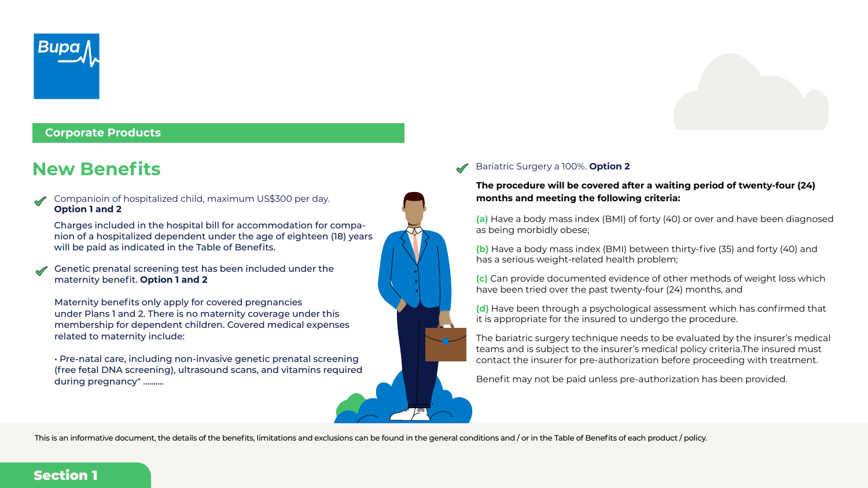Companioin of hospitalized child, maximum US\$300 per day. **Option 1 and 2** 

Charges included in the hospital bill for accommodation for companion of a hospitalized dependent under the age of eighteen (18) years will be paid as indicated in the Table of Benefits.



**Corporate Products**

Genetic prenatal screening test has been included under the maternity benefit. **Option 1 and 2** 

Maternity benefits only apply for covered pregnancies under Plans 1 and 2. There is no maternity coverage under this membership for dependent children. Covered medical expenses related to maternity include:

• Pre-natal care, including non-invasive genetic prenatal screening (free fetal DNA screening), ultrasound scans, and vitamins required during pregnancy" ..........

## Section 1



## **New Benefits Benefits Bariatric Surgery a 100%. Option 2**

### **The procedure will be covered after a waiting period of twenty-four (24) months and meeting the following criteria:**

**(a)** Have a body mass index (BMI) of forty (40) or over and have been diagnosed as being morbidly obese;

**(b)** Have a body mass index (BMI) between thirty-five (35) and forty (40) and has a serious weight-related health problem;

**(c)** Can provide documented evidence of other methods of weight loss which have been tried over the past twenty-four (24) months, and

**(d)** Have been through a psychological assessment which has confirmed that it is appropriate for the insured to undergo the procedure.

The bariatric surgery technique needs to be evaluated by the insurer's medical teams and is subject to the insurer's medical policy criteria.The insured must contact the insurer for pre-authorization before proceeding with treatment.

Benefit may not be paid unless pre-authorization has been provided.

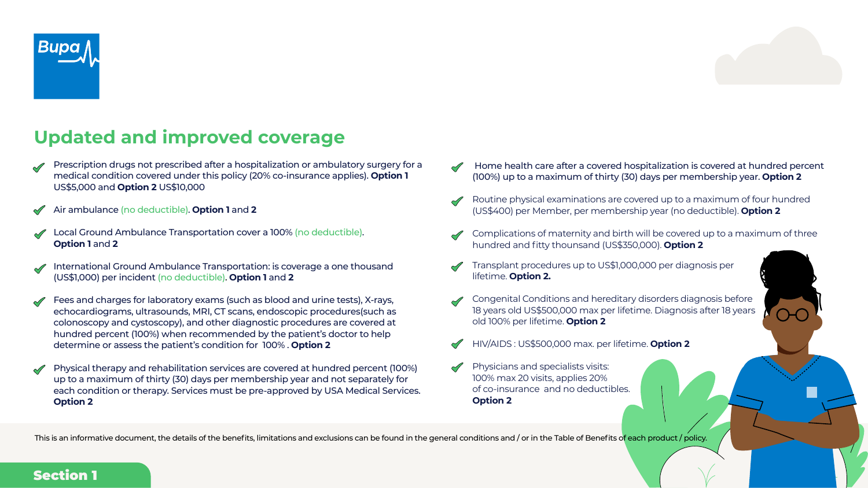Prescription drugs not prescribed after a hospitalization or ambulatory surgery for a medical condition covered under this policy (20% co-insurance applies). **Option 1**  US\$5,000 and **Option 2** US\$10,000



Air ambulance (no deductible). **Option 1** and **2**



International Ground Ambulance Transportation: is coverage a one thousand (US\$1,000) per incident (no deductible). **Option 1** and **2**





Fees and charges for laboratory exams (such as blood and urine tests), X-rays, echocardiograms, ultrasounds, MRI, CT scans, endoscopic procedures(such as colonoscopy and cystoscopy), and other diagnostic procedures are covered at hundred percent (100%) when recommended by the patient's doctor to help determine or assess the patient's condition for 100% . **Option 2**

Physical therapy and rehabilitation services are covered at hundred percent (100%) up to a maximum of thirty (30) days per membership year and not separately for each condition or therapy. Services must be pre-approved by USA Medical Services. **Option 2**

This is an informative document, the details of the benefits, limitations and exclusions can be found in the general conditions and / or in the Table of Benefits of each product / policy.



## **Updated and improved coverage**

 Home health care after a covered hospitalization is covered at hundred percent (100%) up to a maximum of thirty (30) days per membership year. **Option 2**

Routine physical examinations are covered up to a maximum of four hundred (US\$400) per Member, per membership year (no deductible). **Option 2**

Complications of maternity and birth will be covered up to a maximum of three hundred and fitty thounsand (US\$350,000). **Option 2**

Transplant procedures up to US\$1,000,000 per diagnosis per lifetime. **Option 2.**



Congenital Conditions and hereditary disorders diagnosis before 18 years old US\$500,000 max per lifetime. Diagnosis after 18 years old 100% per lifetime. **Option 2**

HIV/AIDS : US\$500,000 max. per lifetime. **Option 2**

Physicians and specialists visits: 100% max 20 visits, applies 20% of co-insurance and no deductibles. **Option 2**

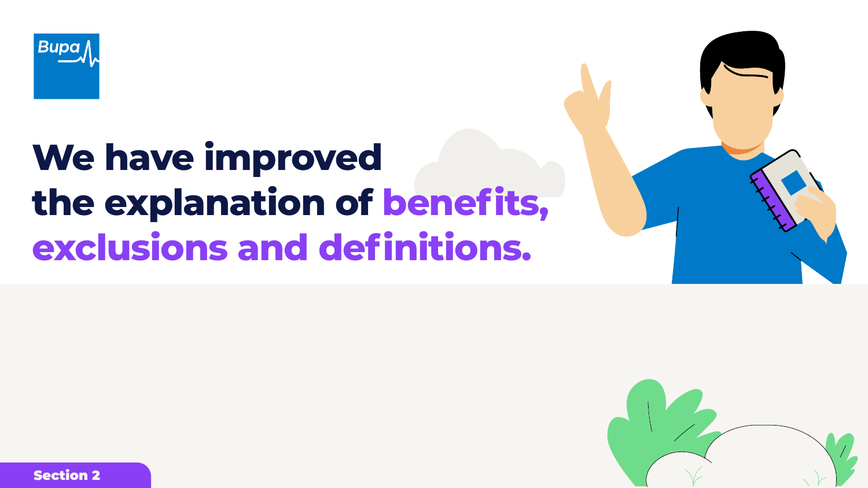









# **We have improved the explanation of benefits, exclusions and definitions.**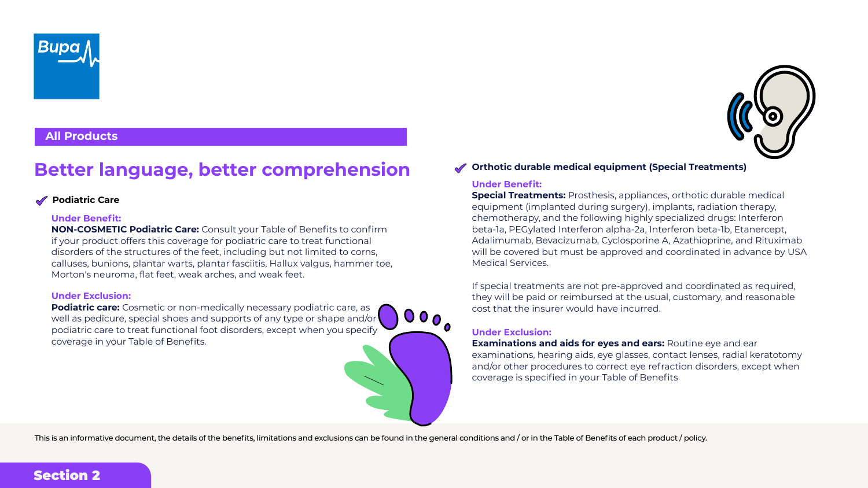## **Better language, better comprehension**



## **All Products**

### **Podiatric Care**

#### **Under Benefit:**

**NON-COSMETIC Podiatric Care:** Consult your Table of Benefits to confirm if your product offers this coverage for podiatric care to treat functional disorders of the structures of the feet, including but not limited to corns, calluses, bunions, plantar warts, plantar fasciitis, Hallux valgus, hammer toe, Morton's neuroma, flat feet, weak arches, and weak feet.

**Podiatric care:** Cosmetic or non-medically necessary podiatric care, as well as pedicure, special shoes and supports of any type or shape and/or podiatric care to treat functional foot disorders, except when you specify coverage in your Table of Benefits.

#### **Under Exclusion:**

#### **Under Benefit:**

**Special Treatments:** Prosthesis, appliances, orthotic durable medical equipment (implanted during surgery), implants, radiation therapy, chemotherapy, and the following highly specialized drugs: Interferon beta-1a, PEGylated Interferon alpha-2a, Interferon beta-1b, Etanercept, Adalimumab, Bevacizumab, Cyclosporine A, Azathioprine, and Rituximab will be covered but must be approved and coordinated in advance by USA Medical Services.

If special treatments are not pre-approved and coordinated as required, they will be paid or reimbursed at the usual, customary, and reasonable cost that the insurer would have incurred.

### **Orthotic durable medical equipment (Special Treatments)**

### **Under Exclusion:**

**Examinations and aids for eyes and ears:** Routine eye and ear examinations, hearing aids, eye glasses, contact lenses, radial keratotomy and/or other procedures to correct eye refraction disorders, except when coverage is specified in your Table of Benefits





This is an informative document, the details of the benefits, limitations and exclusions can be found in the general conditions and / or in the Table of Benefits of each product / policy.

 $\begin{array}{c} \bullet & \bullet & \bullet \\ \bullet & \bullet & \bullet \end{array}$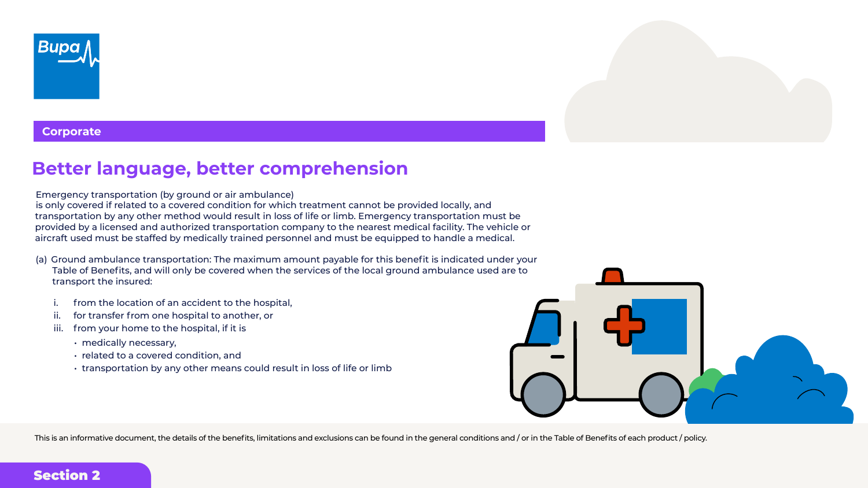## **Better language, better comprehension**

Emergency transportation (by ground or air ambulance) is only covered if related to a covered condition for which treatment cannot be provided locally, and transportation by any other method would result in loss of life or limb. Emergency transportation must be provided by a licensed and authorized transportation company to the nearest medical facility. The vehicle or aircraft used must be staffed by medically trained personnel and must be equipped to handle a medical.

- (a) Ground ambulance transportation: The maximum amount payable for this benefit is indicated under your Table of Benefits, and will only be covered when the services of the local ground ambulance used are to transport the insured:
	- from the location of an accident to the hospital,
	- ii. for transfer from one hospital to another, or
	- iii. from your home to the hospital, if it is
		- medically necessary,
		- related to a covered condition, and
		- transportation by any other means could result in loss of life or limb







**Corporate**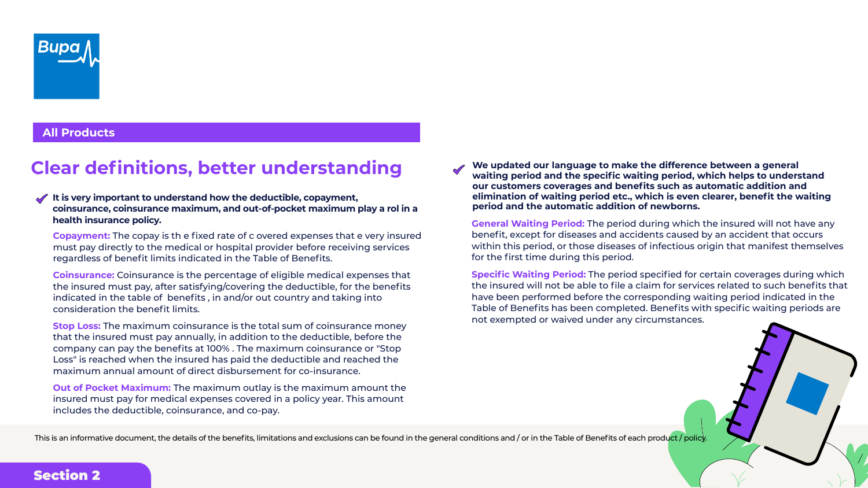## Section 2

## **We updated our language to make the difference between a general waiting period and the specific waiting period, which helps to understand our customers coverages and benefits such as automatic addition and elimination of waiting period etc., which is even clearer, benefit the waiting**

**period and the automatic addition of newborns.**

**General Waiting Period:** The period during which the insured will not have any benefit, except for diseases and accidents caused by an accident that occurs within this period, or those diseases of infectious origin that manifest themselves for the first time during this period.

**Specific Waiting Period:** The period specified for certain coverages during which the insured will not be able to file a claim for services related to such benefits that have been performed before the corresponding waiting period indicated in the Table of Benefits has been completed. Benefits with specific waiting periods are not exempted or waived under any circumstances.

























**All Products**

#### **It is very important to understand how the deductible, copayment, coinsurance, coinsurance maximum, and out-of-pocket maximum play a rol in a health insurance policy.**

**Copayment:** The copay is th e fixed rate of c overed expenses that e very insured must pay directly to the medical or hospital provider before receiving services regardless of benefit limits indicated in the Table of Benefits.

**Coinsurance:** Coinsurance is the percentage of eligible medical expenses that the insured must pay, after satisfying/covering the deductible, for the benefits indicated in the table of benefits , in and/or out country and taking into consideration the benefit limits.

**Stop Loss:** The maximum coinsurance is the total sum of coinsurance money that the insured must pay annually, in addition to the deductible, before the company can pay the benefits at 100% . The maximum coinsurance or "Stop Loss" is reached when the insured has paid the deductible and reached the maximum annual amount of direct disbursement for co-insurance.

**Out of Pocket Maximum:** The maximum outlay is the maximum amount the insured must pay for medical expenses covered in a policy year. This amount includes the deductible, coinsurance, and co-pay.

This is an informative document, the details of the benefits, limitations and exclusions can be found in the general conditions and / or in the Table of Benefits of each product / policy.

## **Clear definitions, better understanding**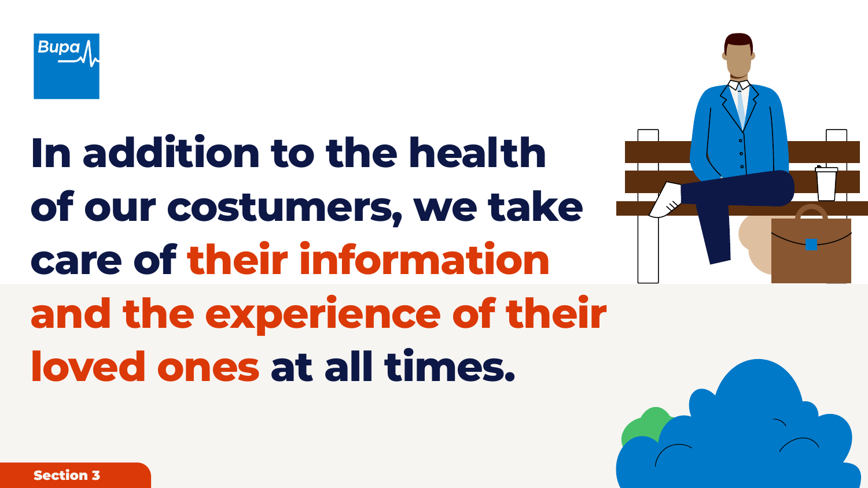Section 3







# **In addition to the health of our costumers, we take care of their information and the experience of their loved ones at all times.**